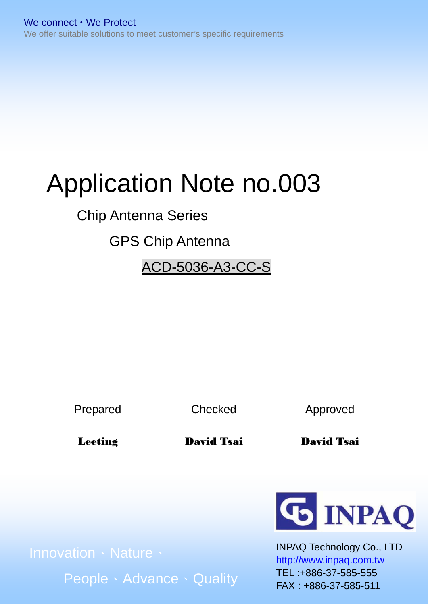# Application Note no.003

# Chip Antenna Series

# GPS Chip Antenna

ACD-5036-A3-CC-S

| Prepared       | Checked           | Approved          |  |  |
|----------------|-------------------|-------------------|--|--|
| <b>Leeting</b> | <b>David Tsai</b> | <b>David Tsai</b> |  |  |

People、Advance、Quality



INPAQ Technology Co., LTD http://www.inpaq.com.tw TEL :+886-37-585-555 FAX : +886-37-585-511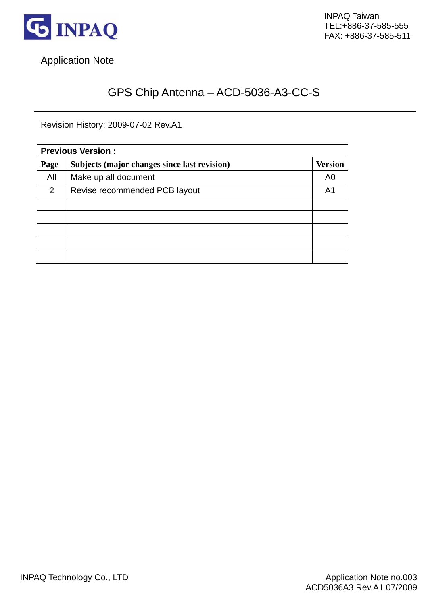

Application Note

# GPS Chip Antenna – ACD-5036-A3-CC-S

Revision History: 2009-07-02 Rev.A1

| <b>Previous Version:</b> |                                                                |    |  |  |
|--------------------------|----------------------------------------------------------------|----|--|--|
| Page                     | Subjects (major changes since last revision)<br><b>Version</b> |    |  |  |
| All                      | Make up all document                                           | A0 |  |  |
| 2                        | Revise recommended PCB layout                                  | A1 |  |  |
|                          |                                                                |    |  |  |
|                          |                                                                |    |  |  |
|                          |                                                                |    |  |  |
|                          |                                                                |    |  |  |
|                          |                                                                |    |  |  |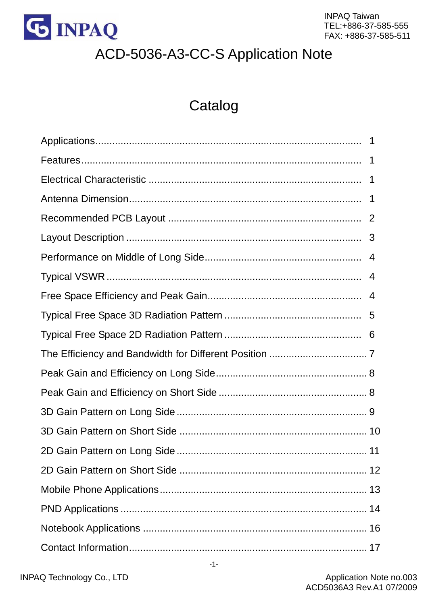

# ACD-5036-A3-CC-S Application Note

# Catalog

| -1          |
|-------------|
| 1           |
| $\mathbf 1$ |
|             |
|             |
|             |
| 4           |
|             |
|             |
|             |
|             |
|             |
|             |
|             |
|             |
|             |
|             |
|             |
|             |
|             |
|             |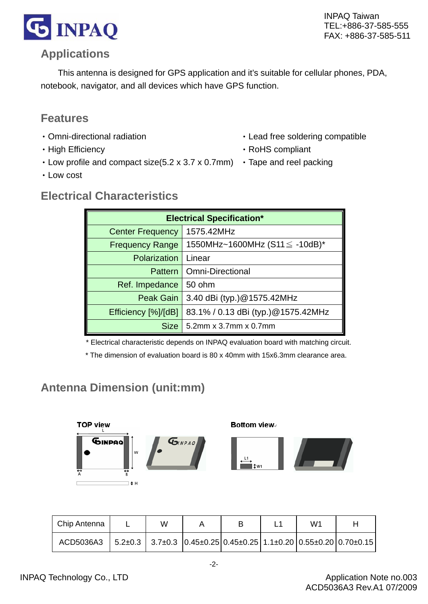

#### **Applications**

This antenna is designed for GPS application and it's suitable for cellular phones, PDA, notebook, navigator, and all devices which have GPS function.

#### **Features**

- ‧Omni-directional radiation
- High Efficiency
- $\cdot$  Low profile and compact size(5.2 x 3.7 x 0.7mm)  $\cdot$  Tape and reel packing
- ‧Low cost
- ‧Lead free soldering compatible
- ‧RoHS compliant
- 

#### **Electrical Characteristics**

| <b>Electrical Specification*</b>      |                                     |  |  |  |
|---------------------------------------|-------------------------------------|--|--|--|
| 1575.42MHz<br><b>Center Frequency</b> |                                     |  |  |  |
| <b>Frequency Range</b>                | 1550MHz~1600MHz $(S11 \le -10dB)^*$ |  |  |  |
| <b>Polarization</b>                   | Linear                              |  |  |  |
|                                       | <b>Pattern</b>   Omni-Directional   |  |  |  |
| Ref. Impedance                        | 50 ohm                              |  |  |  |
| Peak Gain                             | 3.40 dBi (typ.)@1575.42MHz          |  |  |  |
| Efficiency [%]/[dB]                   | 83.1% / 0.13 dBi (typ.) @1575.42MHz |  |  |  |
| <b>Size</b>                           | 5.2mm x 3.7mm x 0.7mm               |  |  |  |

\* Electrical characteristic depends on INPAQ evaluation board with matching circuit.

\* The dimension of evaluation board is 80 x 40mm with 15x6.3mm clearance area.

#### **Antenna Dimension (unit:mm)**



| Chip Antenna                                                                                                         | W | в | W1 |  |
|----------------------------------------------------------------------------------------------------------------------|---|---|----|--|
| ACD5036A3   $5.2\pm0.3$   $3.7\pm0.3$   $0.45\pm0.25$   $0.45\pm0.25$   $1.1\pm0.20$   $0.55\pm0.20$   $0.70\pm0.15$ |   |   |    |  |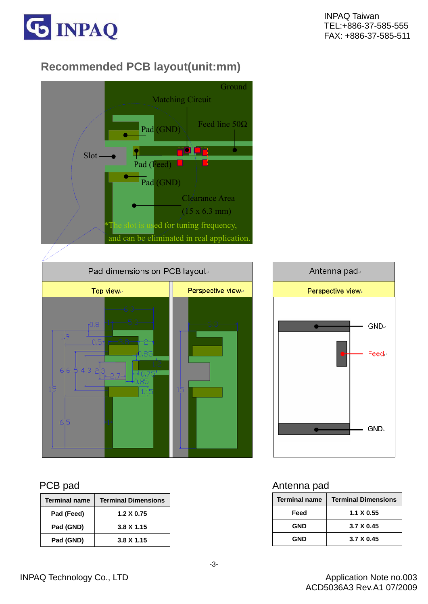

# **Recommended PCB layout(unit:mm)**





| <b>Terminal name</b> | <b>Terminal Dimensions</b> |
|----------------------|----------------------------|
| Pad (Feed)           | $1.2 \times 0.75$          |
| Pad (GND)            | $3.8 \times 1.15$          |
| Pad (GND)            | $3.8 \times 1.15$          |



#### PCB pad Antenna pad Antenna pad Antenna pad Antenna pad Antenna pad Antenna pad Antenna pad Antenna pad Antenna pad Antenna pad Antenna pad Antenna pad Antenna pad Antenna pad Antenna pad Antenna pad Antenna pad Antenna pa

| <b>Terminal name</b> | <b>Terminal Dimensions</b> |
|----------------------|----------------------------|
| Feed                 | $1.1 \times 0.55$          |
| <b>GND</b>           | 3.7 X 0.45                 |
| <b>GND</b>           | 3.7 X 0.45                 |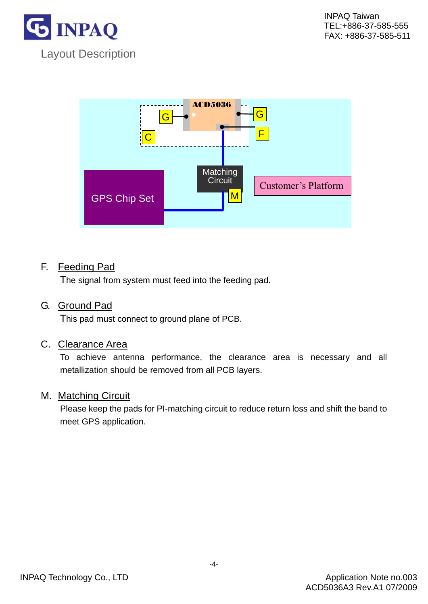



#### F. Feeding Pad

The signal from system must feed into the feeding pad.

#### G. Ground Pad

This pad must connect to ground plane of PCB.

#### C. Clearance Area

 To achieve antenna performance, the clearance area is necessary and all metallization should be removed from all PCB layers.

#### M. Matching Circuit

 Please keep the pads for PI-matching circuit to reduce return loss and shift the band to meet GPS application.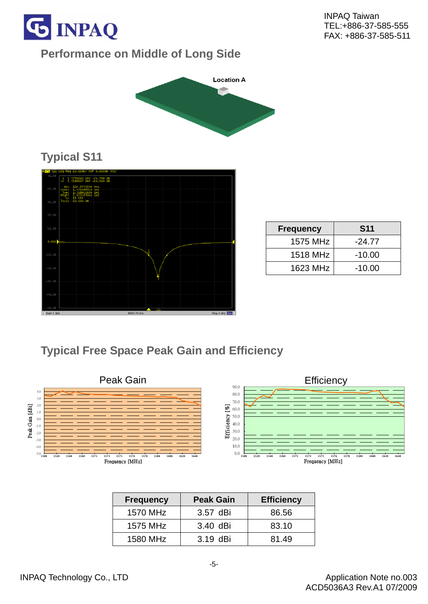

## **Performance on Middle of Long Side**



# **Typical S11**



| <b>Frequency</b> | <b>S11</b> |
|------------------|------------|
| 1575 MHz         | $-24.77$   |
| 1518 MHz         | $-10.00$   |
| 1623 MHz         | $-10.00$   |

# **Typical Free Space Peak Gain and Efficiency**



| <b>Frequency</b> | <b>Peak Gain</b> | <b>Efficiency</b> |
|------------------|------------------|-------------------|
| 1570 MHz         | 3.57 dBi         | 86.56             |
| 1575 MHz         | 3.40 dBi         | 83.10             |
| 1580 MHz         | 3.19 dBi         | 81.49             |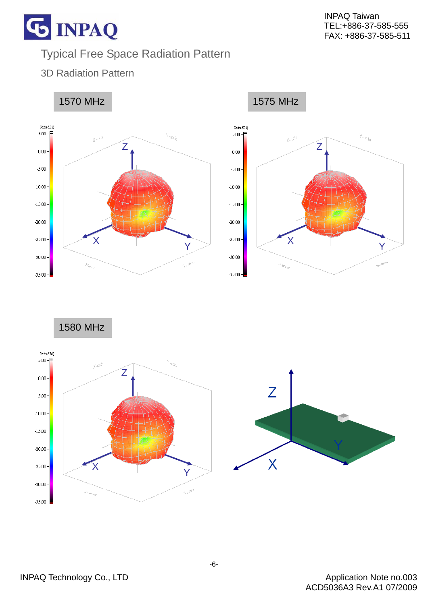# Typical Free Space Radiation Pattern

3D Radiation Pattern

**G INPAQ** 





1580 MHz



Application Note no.003 ACD5036A3 Rev.A1 07/2009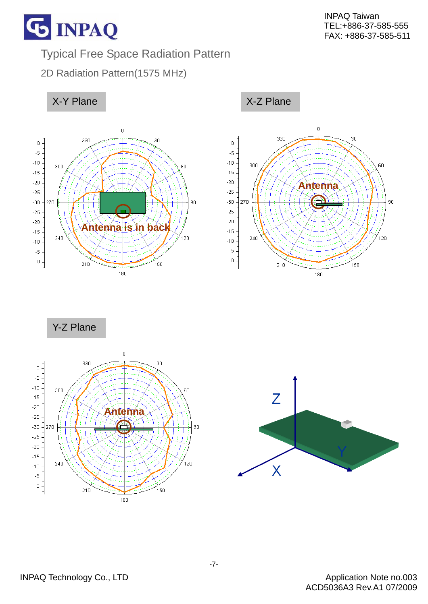

30

.<br>150

60

90

120

**G INPAQ** 

Typical Free Space Radiation Pattern

2D Radiation Pattern(1575 MHz)



Y-Z Plane



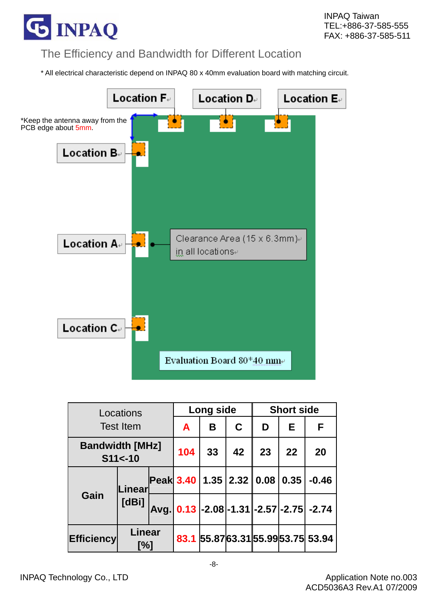

#### The Efficiency and Bandwidth for Different Location

\* All electrical characteristic depend on INPAQ 80 x 40mm evaluation board with matching circuit.



| Locations                            |               | Long side |    |    | <b>Short side</b> |                                       |    |                                            |
|--------------------------------------|---------------|-----------|----|----|-------------------|---------------------------------------|----|--------------------------------------------|
| <b>Test Item</b>                     |               |           | A  | B  | $\mathbf C$       | D                                     | Е  | F                                          |
| <b>Bandwidth [MHz]</b><br>$$11$ <-10 |               | 104       | 33 | 42 | 23                | 22                                    | 20 |                                            |
| Gain                                 | Linear        |           |    |    |                   | Peak 3.40   1.35   2.32   0.08   0.35 |    | $-0.46$                                    |
|                                      | [dBi]         |           |    |    |                   |                                       |    | Avg. 0.13 -2.08 -1.31 - 2.57 - 2.75 - 2.74 |
| <b>Efficiency</b>                    | Linear<br>[%] |           |    |    |                   |                                       |    | 83.1 55.87 63.31 55.99 53.75 53.94         |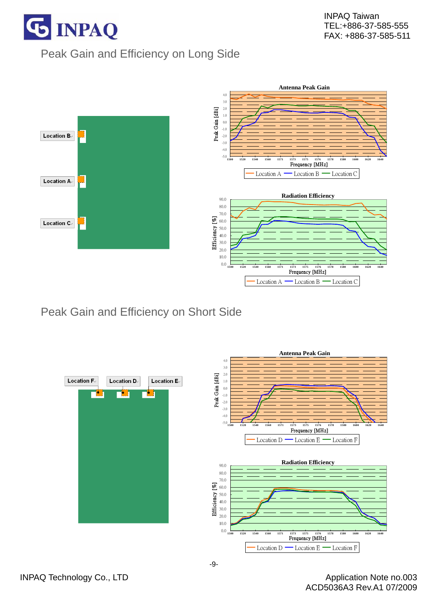

# Peak Gain and Efficiency on Long Side



Peak Gain and Efficiency on Short Side

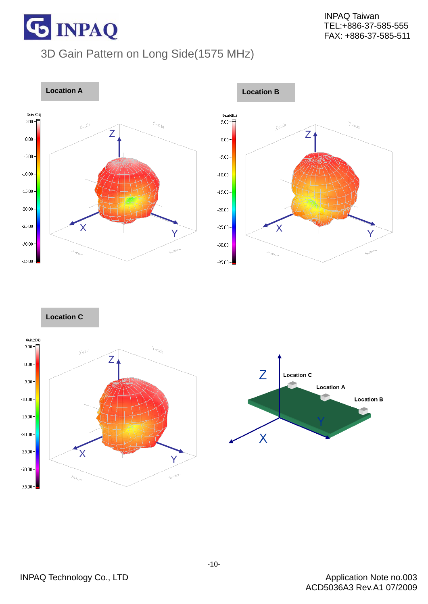

# 3D Gain Pattern on Long Side(1575 MHz)



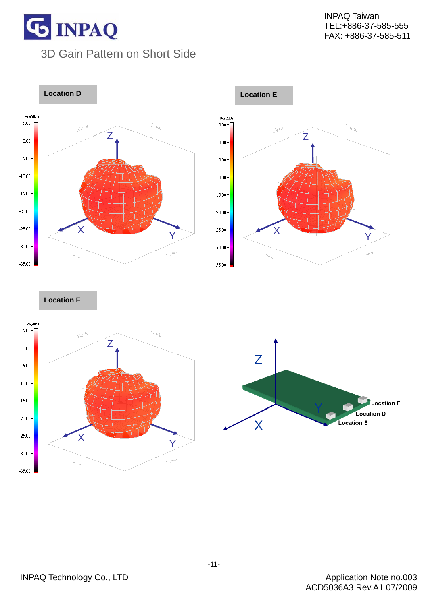# **G INPAQ** 3D Gain Pattern on Short Side





**Location F** 

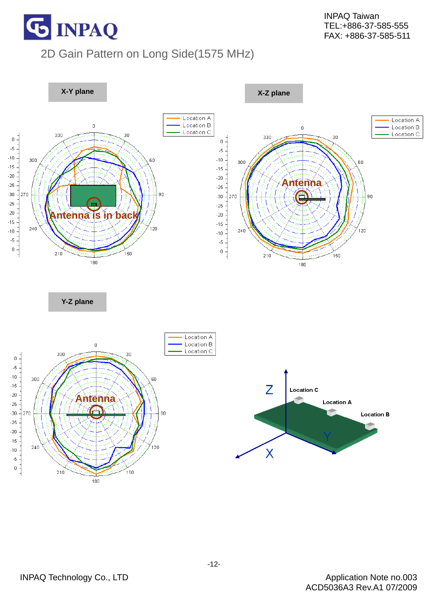

# 2D Gain Pattern on Long Side(1575 MHz)

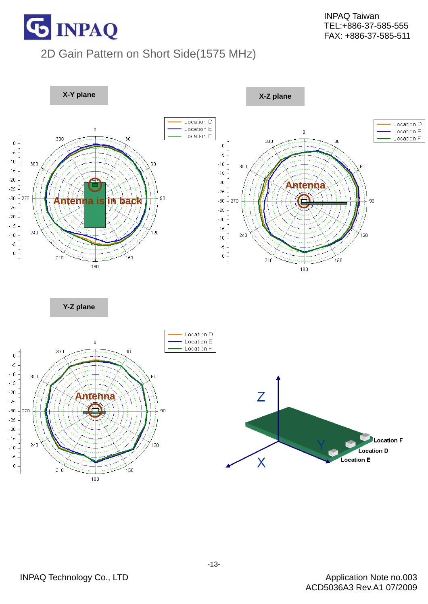

## 2D Gain Pattern on Short Side(1575 MHz)

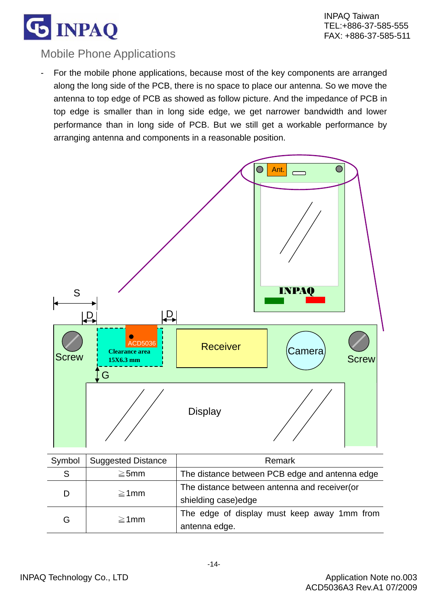

#### Mobile Phone Applications

For the mobile phone applications, because most of the key components are arranged along the long side of the PCB, there is no space to place our antenna. So we move the antenna to top edge of PCB as showed as follow picture. And the impedance of PCB in top edge is smaller than in long side edge, we get narrower bandwidth and lower performance than in long side of PCB. But we still get a workable performance by arranging antenna and components in a reasonable position.

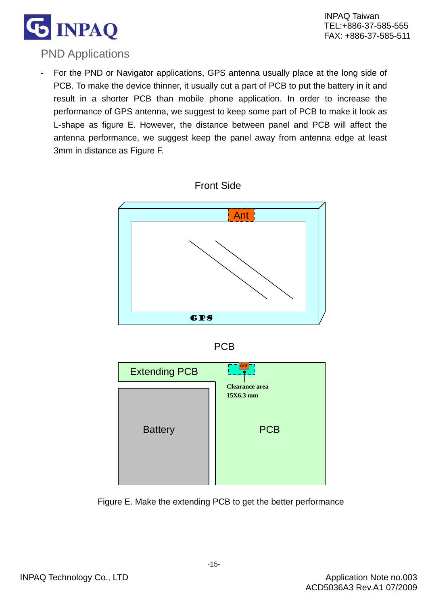

#### PND Applications

For the PND or Navigator applications, GPS antenna usually place at the long side of PCB. To make the device thinner, it usually cut a part of PCB to put the battery in it and result in a shorter PCB than mobile phone application. In order to increase the performance of GPS antenna, we suggest to keep some part of PCB to make it look as L-shape as figure E. However, the distance between panel and PCB will affect the antenna performance, we suggest keep the panel away from antenna edge at least 3mm in distance as Figure F.







Figure E. Make the extending PCB to get the better performance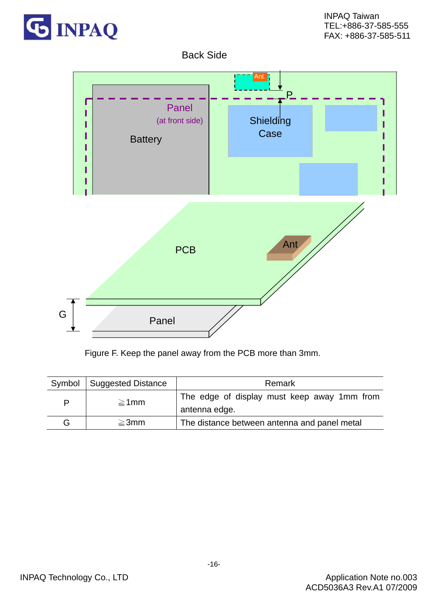

#### Back Side



Figure F. Keep the panel away from the PCB more than 3mm.

|   | Symbol   Suggested Distance | Remark                                                       |
|---|-----------------------------|--------------------------------------------------------------|
| P | $\geq$ 1mm                  | The edge of display must keep away 1mm from<br>antenna edge. |
| G | $\geq$ 3mm                  | The distance between antenna and panel metal                 |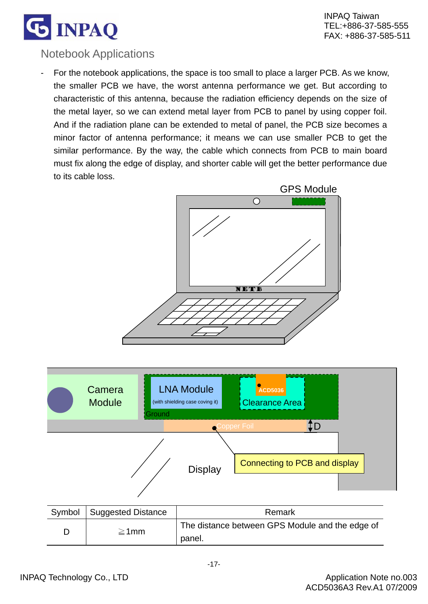

#### Notebook Applications

For the notebook applications, the space is too small to place a larger PCB. As we know, the smaller PCB we have, the worst antenna performance we get. But according to characteristic of this antenna, because the radiation efficiency depends on the size of the metal layer, so we can extend metal layer from PCB to panel by using copper foil. And if the radiation plane can be extended to metal of panel, the PCB size becomes a minor factor of antenna performance; it means we can use smaller PCB to get the similar performance. By the way, the cable which connects from PCB to main board must fix along the edge of display, and shorter cable will get the better performance due to its cable loss.